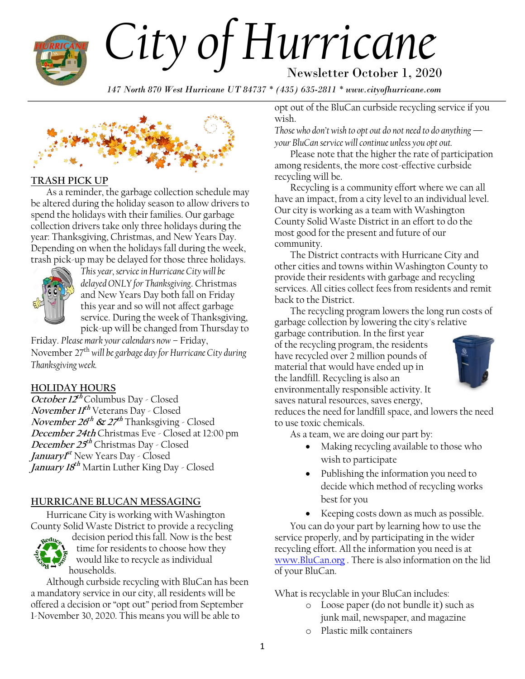

# *City of Hurricane* Newsletter October 1, 2020

*147 North 870 West Hurricane UT 84737 \* (435) 635-2811 \* www.cityofhurricane.com*



#### **TRASH PICK UP**

As a reminder, the garbage collection schedule may be altered during the holiday season to allow drivers to spend the holidays with their families. Our garbage collection drivers take only three holidays during the year: Thanksgiving, Christmas, and New Years Day. Depending on when the holidays fall during the week, trash pick-up may be delayed for those three holidays.



*This year, service in Hurricane City will be delayed ONLY for Thanksgiving*. Christmas and New Years Day both fall on Friday this year and so will not affect garbage service. During the week of Thanksgiving, pick-up will be changed from Thursday to

Friday. *Please mark your calendars now* – Friday, November 27th *will be garbage day for Hurricane City during Thanksgiving week.*

#### **HOLIDAY HOURS**

**October 12 th** Columbus Day - Closed **November 11 th** Veterans Day - Closed **November 26 th & 27 th** Thanksgiving - Closed **December 24th** Christmas Eve - Closed at 12:00 pm **December 25 th** Christmas Day - Closed **January1 st** New Years Day - Closed **January 18 th** Martin Luther King Day - Closed

#### **HURRICANE BLUCAN MESSAGING**

Hurricane City is working with Washington County Solid Waste District to provide a recycling



decision period this fall. Now is the best time for residents to choose how they would like to recycle as individual households.

Although curbside recycling with BluCan has been a mandatory service in our city, all residents will be offered a decision or "opt out" period from September 1-November 30, 2020. This means you will be able to

opt out of the BluCan curbside recycling service if you wish.

*Those who don't wish to opt out do not need to do anything your BluCan service will continue unless you opt out.* 

Please note that the higher the rate of participation among residents, the more cost-effective curbside recycling will be.

Recycling is a community effort where we can all have an impact, from a city level to an individual level. Our city is working as a team with Washington County Solid Waste District in an effort to do the most good for the present and future of our community.

The District contracts with Hurricane City and other cities and towns within Washington County to provide their residents with garbage and recycling services. All cities collect fees from residents and remit back to the District.

The recycling program lowers the long run costs of garbage collection by lowering the city's relative

garbage contribution. In the first year of the recycling program, the residents have recycled over 2 million pounds of material that would have ended up in the landfill. Recycling is also an environmentally responsible activity. It saves natural resources, saves energy,



reduces the need for landfill space, and lowers the need to use toxic chemicals.

As a team, we are doing our part by:

- Making recycling available to those who wish to participate
- Publishing the information you need to decide which method of recycling works best for you
- Keeping costs down as much as possible.

You can do your part by learning how to use the service properly, and by participating in the wider recycling effort. All the information you need is at [www.BluCan.org](http://www.blucan.org/) . There is also information on the lid of your BluCan.

What is recyclable in your BluCan includes:

- o Loose paper (do not bundle it) such as junk mail, newspaper, and magazine
- o Plastic milk containers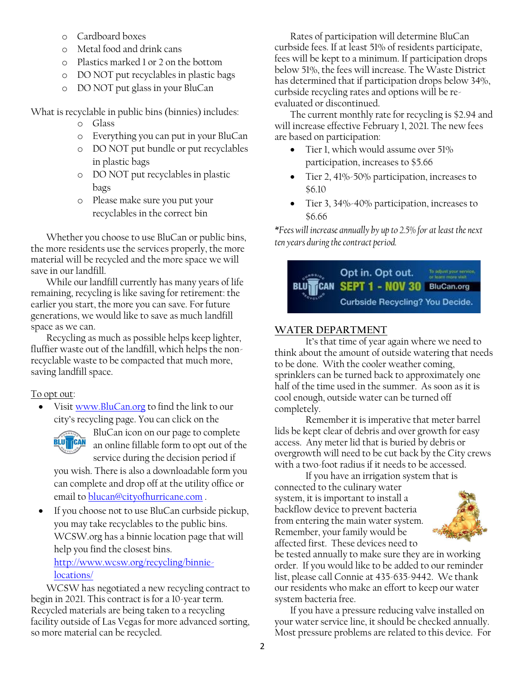- o Cardboard boxes
- o Metal food and drink cans
- o Plastics marked 1 or 2 on the bottom
- o DO NOT put recyclables in plastic bags
- o DO NOT put glass in your BluCan

What is recyclable in public bins (binnies) includes:

- o Glass
- o Everything you can put in your BluCan
- o DO NOT put bundle or put recyclables in plastic bags
- o DO NOT put recyclables in plastic bags
- o Please make sure you put your recyclables in the correct bin

Whether you choose to use BluCan or public bins, the more residents use the services properly, the more material will be recycled and the more space we will save in our landfill.

While our landfill currently has many years of life remaining, recycling is like saving for retirement: the earlier you start, the more you can save. For future generations, we would like to save as much landfill space as we can.

Recycling as much as possible helps keep lighter, fluffier waste out of the landfill, which helps the nonrecyclable waste to be compacted that much more, saving landfill space.

To opt out:

 Visit [www.BluCan.org](http://www.blucan.org/) to find the link to our city's recycling page. You can click on the



BluCan icon on our page to complete an online fillable form to opt out of the

service during the decision period if you wish. There is also a downloadable form you can complete and drop off at the utility office or email to [blucan@cityofhurricane.com](mailto:blucan@cityofhurricane.com).

• If you choose not to use BluCan curbside pickup, you may take recyclables to the public bins. WCSW.org has a binnie location page that will help you find the closest bins. [http://www.wcsw.org/recycling/binnie-](http://www.wcsw.org/recycling/binnie-locations/)

# [locations/](http://www.wcsw.org/recycling/binnie-locations/)

WCSW has negotiated a new recycling contract to begin in 2021. This contract is for a 10-year term. Recycled materials are being taken to a recycling facility outside of Las Vegas for more advanced sorting, so more material can be recycled.

Rates of participation will determine BluCan curbside fees. If at least 51% of residents participate, fees will be kept to a minimum. If participation drops below 51%, the fees will increase. The Waste District has determined that if participation drops below 34%, curbside recycling rates and options will be reevaluated or discontinued.

The current monthly rate for recycling is \$2.94 and will increase effective February 1, 2021. The new fees are based on participation:

- Tier 1, which would assume over 51% participation, increases to \$5.66
- Tier 2, 41%-50% participation, increases to \$6.10
- Tier 3, 34%-40% participation, increases to \$6.66

*\*Fees will increase annually by up to 2.5% for at least the next ten years during the contract period.*

To adjust your service<br>or learn more visit. Opt in. Opt out. **CAN** SEPT 1 - NOV 30 BluCan.org **Curbside Recycling? You Decide.** 

# **WATER DEPARTMENT**

It's that time of year again where we need to think about the amount of outside watering that needs to be done. With the cooler weather coming, sprinklers can be turned back to approximately one half of the time used in the summer. As soon as it is cool enough, outside water can be turned off completely.

Remember it is imperative that meter barrel lids be kept clear of debris and over growth for easy access. Any meter lid that is buried by debris or overgrowth will need to be cut back by the City crews with a two-foot radius if it needs to be accessed.

If you have an irrigation system that is connected to the culinary water system, it is important to install a backflow device to prevent bacteria from entering the main water system. Remember, your family would be affected first. These devices need to



be tested annually to make sure they are in working order. If you would like to be added to our reminder list, please call Connie at 435-635-9442. We thank our residents who make an effort to keep our water system bacteria free.

If you have a pressure reducing valve installed on your water service line, it should be checked annually. Most pressure problems are related to this device. For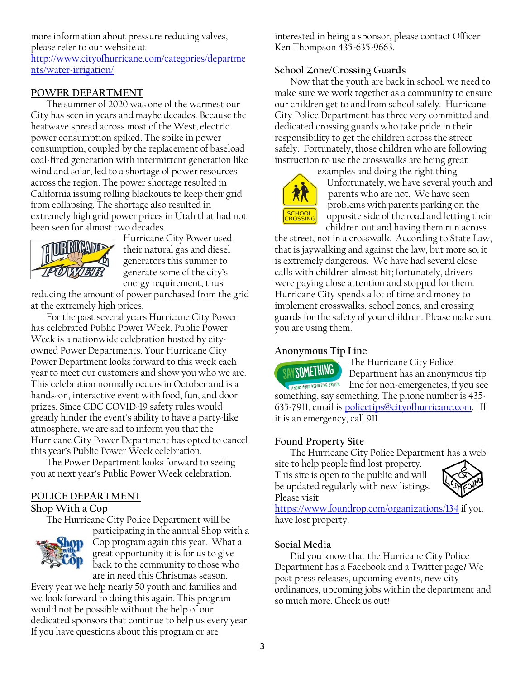more information about pressure reducing valves, please refer to our website at [http://www.cityofhurricane.com/categories/departme](http://www.cityofhurricane.com/categories/departments/water-irrigation/) [nts/water-irrigation/](http://www.cityofhurricane.com/categories/departments/water-irrigation/)

#### **POWER DEPARTMENT**

The summer of 2020 was one of the warmest our City has seen in years and maybe decades. Because the heatwave spread across most of the West, electric power consumption spiked. The spike in power consumption, coupled by the replacement of baseload coal-fired generation with intermittent generation like wind and solar, led to a shortage of power resources across the region. The power shortage resulted in California issuing rolling blackouts to keep their grid from collapsing. The shortage also resulted in extremely high grid power prices in Utah that had not been seen for almost two decades.



Hurricane City Power used their natural gas and diesel generators this summer to generate some of the city's energy requirement, thus

reducing the amount of power purchased from the grid at the extremely high prices.

For the past several years Hurricane City Power has celebrated Public Power Week. Public Power Week is a nationwide celebration hosted by cityowned Power Departments. Your Hurricane City Power Department looks forward to this week each year to meet our customers and show you who we are. This celebration normally occurs in October and is a hands-on, interactive event with food, fun, and door prizes. Since CDC COVID-19 safety rules would greatly hinder the event's ability to have a party-like atmosphere, we are sad to inform you that the Hurricane City Power Department has opted to cancel this year's Public Power Week celebration.

The Power Department looks forward to seeing you at next year's Public Power Week celebration.

#### **POLICE DEPARTMENT**

#### **Shop With a Cop**

The Hurricane City Police Department will be



participating in the annual Shop with a Cop program again this year. What a great opportunity it is for us to give back to the community to those who are in need this Christmas season.

Every year we help nearly 50 youth and families and we look forward to doing this again. This program would not be possible without the help of our dedicated sponsors that continue to help us every year. If you have questions about this program or are

interested in being a sponsor, please contact Officer Ken Thompson 435-635-9663.

#### **School Zone/Crossing Guards**

Now that the youth are back in school, we need to make sure we work together as a community to ensure our children get to and from school safely. Hurricane City Police Department has three very committed and dedicated crossing guards who take pride in their responsibility to get the children across the street safely. Fortunately, those children who are following instruction to use the crosswalks are being great



examples and doing the right thing. Unfortunately, we have several youth and parents who are not. We have seen problems with parents parking on the opposite side of the road and letting their children out and having them run across

the street, not in a crosswalk. According to State Law, that is jaywalking and against the law, but more so, it is extremely dangerous. We have had several close calls with children almost hit; fortunately, drivers were paying close attention and stopped for them. Hurricane City spends a lot of time and money to implement crosswalks, school zones, and crossing guards for the safety of your children. Please make sure you are using them.

#### **Anonymous Tip Line**

The Hurricane City Police SAY SOMETHING Department has an anonymous tip **CANDINYMOUS REPORTING SYSTEM** line for non-emergencies, if you see something, say something. The phone number is 435- 635-7911, email is [policetips@cityofhurricane.com.](mailto:policetips@cityofhurricane.com) If it is an emergency, call 911.

#### **Found Property Site**

The Hurricane City Police Department has a web

site to help people find lost property. This site is open to the public and will be updated regularly with new listings. Please visit



<https://www.foundrop.com/organizations/134> if you have lost property.

#### **Social Media**

Did you know that the Hurricane City Police Department has a Facebook and a Twitter page? We post press releases, upcoming events, new city ordinances, upcoming jobs within the department and so much more. Check us out!